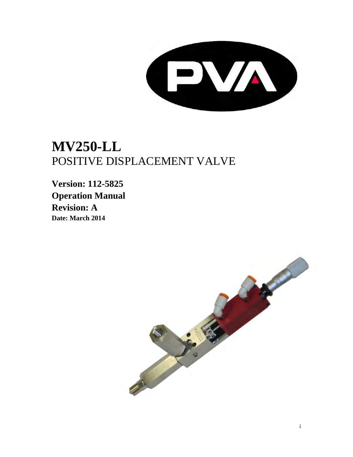

# **MV250-LL** POSITIVE DISPLACEMENT VALVE

**Version: 112-5825 Operation Manual Revision: A Date: March 2014** 

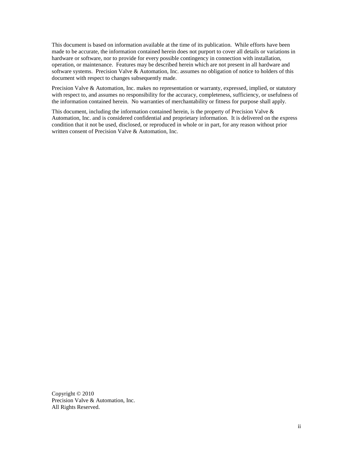This document is based on information available at the time of its publication. While efforts have been made to be accurate, the information contained herein does not purport to cover all details or variations in hardware or software, nor to provide for every possible contingency in connection with installation, operation, or maintenance. Features may be described herein which are not present in all hardware and software systems. Precision Valve & Automation, Inc. assumes no obligation of notice to holders of this document with respect to changes subsequently made.

Precision Valve & Automation, Inc. makes no representation or warranty, expressed, implied, or statutory with respect to, and assumes no responsibility for the accuracy, completeness, sufficiency, or usefulness of the information contained herein. No warranties of merchantability or fitness for purpose shall apply.

This document, including the information contained herein, is the property of Precision Valve  $\&$ Automation, Inc. and is considered confidential and proprietary information. It is delivered on the express condition that it not be used, disclosed, or reproduced in whole or in part, for any reason without prior written consent of Precision Valve & Automation, Inc.

Copyright © 2010 Precision Valve & Automation, Inc. All Rights Reserved.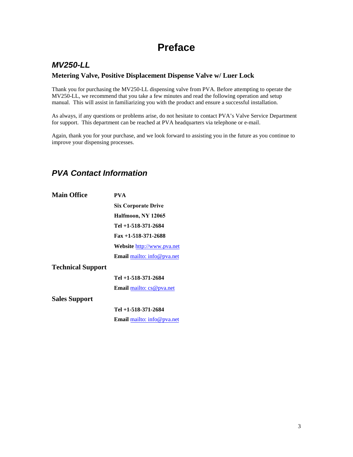## **Preface**

### <span id="page-2-1"></span><span id="page-2-0"></span>*MV250-LL* **Metering Valve, Positive Displacement Dispense Valve w/ Luer Lock**

Thank you for purchasing the MV250-LL dispensing valve from PVA. Before attempting to operate the MV250-LL, we recommend that you take a few minutes and read the following operation and setup manual. This will assist in familiarizing you with the product and ensure a successful installation.

As always, if any questions or problems arise, do not hesitate to contact PVA's Valve Service Department for support. This department can be reached at PVA headquarters via telephone or e-mail.

Again, thank you for your purchase, and we look forward to assisting you in the future as you continue to improve your dispensing processes.

### <span id="page-2-2"></span>*PVA Contact Information*

| <b>Main Office</b>       | PVA                               |
|--------------------------|-----------------------------------|
|                          | <b>Six Corporate Drive</b>        |
|                          | Halfmoon, NY 12065                |
|                          | Tel +1-518-371-2684               |
|                          | $Fax + 1 - 518 - 371 - 2688$      |
|                          | <b>Website http://www.pva.net</b> |
|                          | <b>Email</b> mailto: info@pva.net |
| <b>Technical Support</b> |                                   |
|                          | Tel +1-518-371-2684               |
|                          | <b>Email</b> mailto: $cs@pva.net$ |
| <b>Sales Support</b>     |                                   |
|                          | Tel +1-518-371-2684               |
|                          | <b>Email</b> mailto: info@pva.net |
|                          |                                   |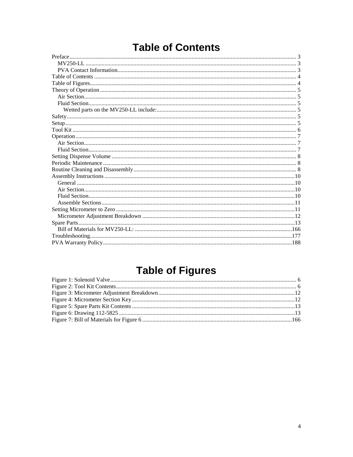# **Table of Contents**

<span id="page-3-0"></span>

# **Table of Figures**

<span id="page-3-1"></span>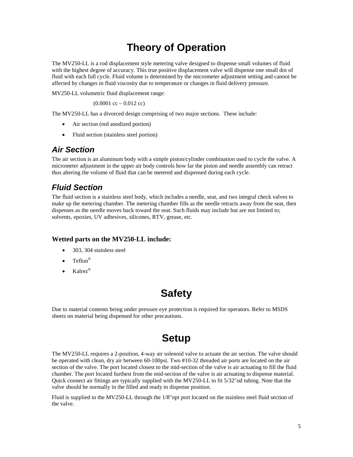## **Theory of Operation**

<span id="page-4-0"></span>The MV250-LL is a rod displacement style metering valve designed to dispense small volumes of fluid with the highest degree of accuracy. This true positive displacement valve will dispense one small dot of fluid with each full cycle. Fluid volume is determined by the micrometer adjustment setting and cannot be affected by changes in fluid viscosity due to temperature or changes in fluid delivery pressure.

MV250-LL volumetric fluid displacement range:

 $(0.0001 \text{ cc} - 0.012 \text{ cc})$ 

The MV250-LL has a divorced design comprising of two major sections. These include:

- Air section (red anodized portion)
- Fluid section (stainless steel portion)

### <span id="page-4-1"></span>*Air Section*

The air section is an aluminum body with a simple piston/cylinder combination used to cycle the valve. A micrometer adjustment in the upper air body controls how far the piston and needle assembly can retract thus altering the volume of fluid that can be metered and dispensed during each cycle.

### <span id="page-4-2"></span>*Fluid Section*

The fluid section is a stainless steel body, which includes a needle, seat, and two integral check valves to make up the metering chamber. The metering chamber fills as the needle retracts away from the seat, then dispenses as the needle moves back toward the seat. Such fluids may include but are not limited to; solvents, epoxies, UV adhesives, silicones, RTV, grease, etc.

### <span id="page-4-3"></span>**Wetted parts on the MV250-LL include:**

- 303, 304 stainless steel
- Teflon®
- <span id="page-4-4"></span>• Kalrez<sup>®</sup>

## **Safety**

Due to material contents being under pressure eye protection is required for operators. Refer to MSDS sheets on material being dispensed for other precautions.

## **Setup**

<span id="page-4-5"></span>The MV250-LL requires a 2-position, 4-way air solenoid valve to actuate the air section. The valve should be operated with clean, dry air between 60-100psi. Two #10-32 threaded air ports are located on the air section of the valve. The port located closest to the mid-section of the valve is air actuating to fill the fluid chamber. The port located furthest from the mid-section of the valve is air actuating to dispense material. Quick connect air fittings are typically supplied with the MV250-LL to fit 5/32"od tubing. Note that the valve should be normally in the filled and ready to dispense position.

Fluid is supplied to the MV250-LL through the 1/8"npt port located on the stainless steel fluid section of the valve.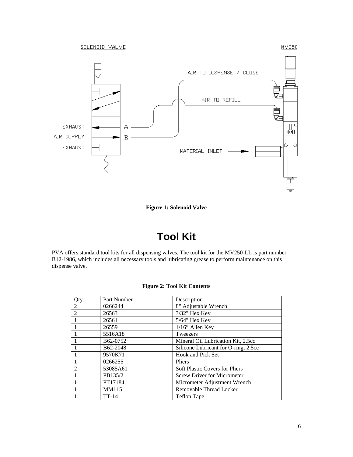

**Figure 1: Solenoid Valve**

## **Tool Kit**

<span id="page-5-1"></span><span id="page-5-0"></span>PVA offers standard tool kits for all dispensing valves. The tool kit for the MV250-LL is part number B12-1986, which includes all necessary tools and lubricating grease to perform maintenance on this dispense valve.

#### **Figure 2: Tool Kit Contents**

<span id="page-5-2"></span>

| Qty                         | Part Number           | Description                           |
|-----------------------------|-----------------------|---------------------------------------|
| 2                           | 0266244               | 8" Adjustable Wrench                  |
| $\overline{2}$              | 26563                 | 3/32" Hex Key                         |
|                             | 26561                 | $5/64$ " Hex Key                      |
|                             | 26559                 | $1/16$ " Allen Key                    |
|                             | 5516A18               | Tweezers                              |
|                             | B <sub>62</sub> -0752 | Mineral Oil Lubrication Kit, 2.5cc    |
|                             | B <sub>62</sub> -2048 | Silicone Lubricant for O-ring, 2.5cc  |
|                             | 9570K71               | Hook and Pick Set                     |
|                             | 0266255               | Pliers                                |
| $\mathcal{D}_{\mathcal{L}}$ | 53085A61              | <b>Soft Plastic Covers for Pliers</b> |
|                             | PB135/2               | <b>Screw Driver for Micrometer</b>    |
|                             | PT17184               | Micrometer Adjustment Wrench          |
|                             | MM115                 | Removable Thread Locker               |
|                             | $TT-14$               | <b>Teflon Tape</b>                    |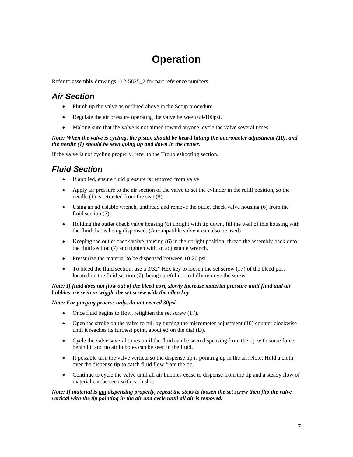## **Operation**

<span id="page-6-0"></span>Refer to assembly drawings 112-5825\_2 for part reference numbers.

### <span id="page-6-1"></span>*Air Section*

- Plumb up the valve as outlined above in the Setup procedure.
- Regulate the air pressure operating the valve between 60-100psi.
- Making sure that the valve is not aimed toward anyone, cycle the valve several times.

#### *Note: When the valve is cycling, the piston should be heard hitting the micrometer adjustment (10), and the needle (1) should be seen going up and down in the center.*

If the valve is not cycling properly, refer to the Troubleshooting section.

### <span id="page-6-2"></span>*Fluid Section*

- If applied, ensure fluid pressure is removed from valve.
- Apply air pressure to the air section of the valve to set the cylinder in the refill position, so the needle (1) is retracted from the seat (8).
- Using an adjustable wrench, unthread and remove the outlet check valve housing (6) from the fluid section  $(7)$ .
- Holding the outlet check valve housing (6) upright with tip down, fill the well of this housing with the fluid that is being dispensed. (A compatible solvent can also be used)
- Keeping the outlet check valve housing (6) in the upright position, thread the assembly back onto the fluid section (7) and tighten with an adjustable wrench.
- Pressurize the material to be dispensed between 10-20 psi.
- To bleed the fluid section, use a 3/32" Hex key to loosen the set screw (17) of the bleed port located on the fluid section (7), being careful not to fully remove the screw.

#### *Note: If fluid does not flow out of the bleed port, slowly increase material pressure until fluid and air bubbles are seen or wiggle the set screw with the allen key*

### *Note: For purging process only, do not exceed 30psi.*

- Once fluid begins to flow, retighten the set screw (17).
- Open the stroke on the valve to full by turning the micrometer adjustment (10) counter clockwise until it reaches its furthest point, about #3 on the dial (D).
- Cycle the valve several times until the fluid can be seen dispensing from the tip with some force behind it and no air bubbles can be seen in the fluid.
- If possible turn the valve vertical so the dispense tip is pointing up in the air. Note: Hold a cloth over the dispense tip to catch fluid flow from the tip.
- Continue to cycle the valve until all air bubbles cease to dispense from the tip and a steady flow of material can be seen with each shot.

#### *Note: If material is not dispensing properly, repeat the steps to loosen the set screw then flip the valve vertical with the tip pointing in the air and cycle until all air is removed.*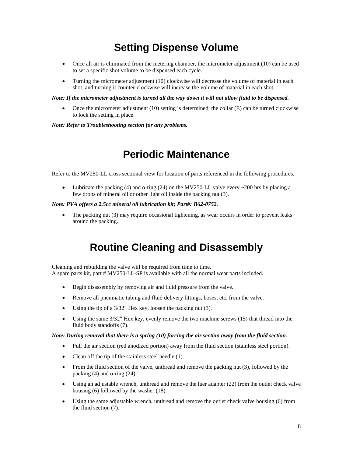## **Setting Dispense Volume**

- <span id="page-7-0"></span>• Once all air is eliminated from the metering chamber, the micrometer adjustment (10) can be used to set a specific shot volume to be dispensed each cycle.
- Turning the micrometer adjustment (10) clockwise will decrease the volume of material in each shot, and turning it counter-clockwise will increase the volume of material in each shot.

#### *Note: If the micrometer adjustment is turned all the way down it will not allow fluid to be dispensed.*

• Once the micrometer adjustment (10) setting is determined, the collar (E) can be turned clockwise to lock the setting in place.

#### *Note: Refer to Troubleshooting section for any problems.*

### **Periodic Maintenance**

<span id="page-7-1"></span>Refer to the MV250-LL cross sectional view for location of parts referenced in the following procedures.

• Lubricate the packing (4) and o-ring (24) on the MV250-LL valve every  $\sim$  200 hrs by placing a few drops of mineral oil or other light oil inside the packing nut (3).

#### *Note: PVA offers a 2.5cc mineral oil lubrication kit; Part#: B62-0752*.

The packing nut (3) may require occasional tightening, as wear occurs in order to prevent leaks around the packing.

## **Routine Cleaning and Disassembly**

<span id="page-7-2"></span>Cleaning and rebuilding the valve will be required from time to time. A spare parts kit, part # MV250-LL-SP is available with all the normal wear parts included.

- Begin disassembly by removing air and fluid pressure from the valve.
- Remove all pneumatic tubing and fluid delivery fittings, hoses, etc. from the valve.
- Using the tip of a 3/32" Hex key, loosen the packing nut (3).
- Using the same 3/32" Hex key, evenly remove the two machine screws (15) that thread into the fluid body standoffs (7).

#### *Note: During removal that there is a spring (10) forcing the air section away from the fluid section.*

- Pull the air section (red anodized portion) away from the fluid section (stainless steel portion).
- Clean off the tip of the stainless steel needle (1).
- From the fluid section of the valve, unthread and remove the packing nut (3), followed by the packing (4) and o-ring (24).
- Using an adjustable wrench, unthread and remove the luer adapter (22) from the outlet check valve housing (6) followed by the washer (18).
- Using the same adjustable wrench, unthread and remove the outlet check valve housing (6) from the fluid section (7).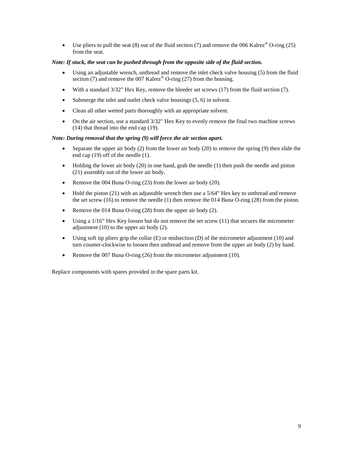• Use pliers to pull the seat (8) out of the fluid section (7) and remove the 006 Kalrez<sup>®</sup> O-ring (25) from the seat.

#### *Note: If stuck, the seat can be pushed through from the opposite side of the fluid section.*

- Using an adjustable wrench, unthread and remove the inlet check valve housing (5) from the fluid section (7) and remove the 007 Kalrez<sup>®</sup> O-ring (27) from the housing.
- With a standard  $3/32$ " Hex Key, remove the bleeder set screws  $(17)$  from the fluid section  $(7)$ .
- Submerge the inlet and outlet check valve housings (5, 6) in solvent.
- Clean all other wetted parts thoroughly with an appropriate solvent.
- On the air section, use a standard  $3/32$ " Hex Key to evenly remove the final two machine screws (14) that thread into the end cap (19).

#### *Note: During removal that the spring (9) will force the air section apart.*

- Separate the upper air body  $(2)$  from the lower air body  $(20)$  to remove the spring  $(9)$  then slide the end cap (19) off of the needle (1).
- Holding the lower air body  $(20)$  in one hand, grab the needle  $(1)$  then push the needle and piston (21) assembly out of the lower air body.
- Remove the 004 Buna O-ring (23) from the lower air body (20).
- Hold the piston (21) with an adjustable wrench then use a 5/64" Hex key to unthread and remove the set screw (16) to remove the needle (1) then remove the 014 Buna O-ring (28) from the piston.
- Remove the 014 Buna O-ring (28) from the upper air body (2).
- Using a  $1/16$ " Hex Key loosen but do not remove the set screw  $(11)$  that secures the micrometer adjustment (10) to the upper air body (2).
- Using soft tip pliers grip the collar  $(E)$  or midsection  $(D)$  of the micrometer adjustment  $(10)$  and turn counter-clockwise to loosen then unthread and remove from the upper air body (2) by hand.
- Remove the 007 Buna O-ring (26) from the micrometer adjustment (10).

<span id="page-8-0"></span>Replace components with spares provided in the spare parts kit.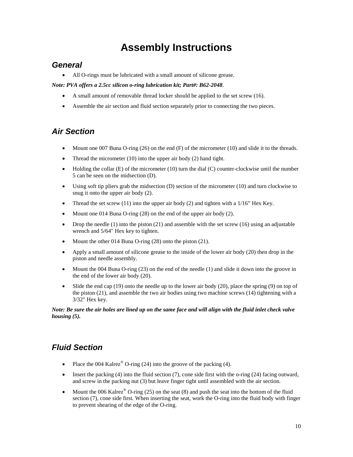## **Assembly Instructions**

### <span id="page-9-0"></span>*General*

• All O-rings must be lubricated with a small amount of silicone grease.

*Note: PVA offers a 2.5cc silicon o-ring lubrication kit; Part#: B62-2048*.

- A small amount of removable thread locker should be applied to the set screw (16).
- Assemble the air section and fluid section separately prior to connecting the two pieces.

### <span id="page-9-1"></span>*Air Section*

- Mount one 007 Buna O-ring (26) on the end (F) of the micrometer (10) and slide it to the threads.
- Thread the micrometer (10) into the upper air body (2) hand tight.
- Holding the collar  $(E)$  of the micrometer (10) turn the dial  $(C)$  counter-clockwise until the number 5 can be seen on the midsection (D).
- Using soft tip pliers grab the midsection (D) section of the micrometer (10) and turn clockwise to snug it onto the upper air body (2).
- Thread the set screw (11) into the upper air body (2) and tighten with a  $1/16$ " Hex Key.
- Mount one 014 Buna O-ring (28) on the end of the upper air body (2).
- Drop the needle (1) into the piston (21) and assemble with the set screw (16) using an adjustable wrench and 5/64" Hex key to tighten.
- Mount the other 014 Buna O-ring (28) onto the piston (21).
- Apply a small amount of silicone grease to the inside of the lower air body (20) then drop in the piston and needle assembly.
- Mount the 004 Buna O-ring (23) on the end of the needle (1) and slide it down into the groove in the end of the lower air body (20).
- Slide the end cap  $(19)$  onto the needle up to the lower air body  $(20)$ , place the spring  $(9)$  on top of the piston (21), and assemble the two air bodies using two machine screws (14) tightening with a 3/32" Hex key.

*Note: Be sure the air holes are lined up on the same face and will align with the fluid inlet check valve housing (5).*

### <span id="page-9-2"></span>*Fluid Section*

- Place the 004 Kalrez<sup>®</sup> O-ring (24) into the groove of the packing (4).
- Insert the packing  $(4)$  into the fluid section  $(7)$ , cone side first with the o-ring  $(24)$  facing outward, and screw in the packing nut (3) but leave finger tight until assembled with the air section.
- Mount the 006 Kalrez<sup>®</sup> O-ring (25) on the seat (8) and push the seat into the bottom of the fluid section (7), cone side first. When inserting the seat, work the O-ring into the fluid body with finger to prevent shearing of the edge of the O-ring.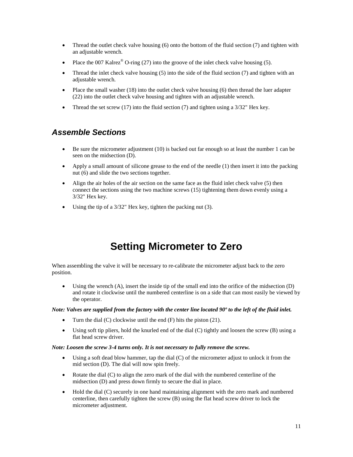- Thread the outlet check valve housing (6) onto the bottom of the fluid section (7) and tighten with an adjustable wrench.
- Place the 007 Kalrez<sup>®</sup> O-ring (27) into the groove of the inlet check valve housing (5).
- Thread the inlet check valve housing  $(5)$  into the side of the fluid section  $(7)$  and tighten with an adjustable wrench.
- Place the small washer  $(18)$  into the outlet check valve housing  $(6)$  then thread the luer adapter (22) into the outlet check valve housing and tighten with an adjustable wrench.
- Thread the set screw (17) into the fluid section (7) and tighten using a  $3/32$ " Hex key.

### <span id="page-10-0"></span>*Assemble Sections*

- Be sure the micrometer adjustment (10) is backed out far enough so at least the number 1 can be seen on the midsection (D).
- Apply a small amount of silicone grease to the end of the needle (1) then insert it into the packing nut (6) and slide the two sections together.
- Align the air holes of the air section on the same face as the fluid inlet check valve (5) then connect the sections using the two machine screws (15) tightening them down evenly using a 3/32" Hex key.
- Using the tip of a 3/32" Hex key, tighten the packing nut (3).

## **Setting Micrometer to Zero**

<span id="page-10-1"></span>When assembling the valve it will be necessary to re-calibrate the micrometer adjust back to the zero position.

• Using the wrench (A), insert the inside tip of the small end into the orifice of the midsection (D) and rotate it clockwise until the numbered centerline is on a side that can most easily be viewed by the operator.

#### *Note: Valves are supplied from the factory with the center line located 90º to the left of the fluid inlet.*

- Turn the dial  $(C)$  clockwise until the end  $(F)$  hits the piston  $(21)$ .
- Using soft tip pliers, hold the knurled end of the dial (C) tightly and loosen the screw (B) using a flat head screw driver.

#### *Note: Loosen the screw 3-4 turns only. It is not necessary to fully remove the screw.*

- Using a soft dead blow hammer, tap the dial (C) of the micrometer adjust to unlock it from the mid section (D). The dial will now spin freely.
- Rotate the dial (C) to align the zero mark of the dial with the numbered centerline of the midsection (D) and press down firmly to secure the dial in place.
- Hold the dial (C) securely in one hand maintaining alignment with the zero mark and numbered centerline, then carefully tighten the screw (B) using the flat head screw driver to lock the micrometer adjustment.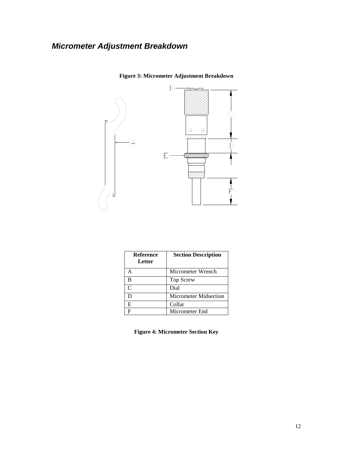### <span id="page-11-1"></span><span id="page-11-0"></span>*Micrometer Adjustment Breakdown*



**Figure 3: Micrometer Adjustment Breakdown**

| <b>Reference</b><br>Letter  | <b>Section Description</b> |
|-----------------------------|----------------------------|
|                             | Micrometer Wrench          |
| R                           | <b>Top Screw</b>           |
| $\mathcal{C}_{\mathcal{C}}$ | Dial                       |
|                             | Micrometer Midsection      |
| E                           | Collar                     |
|                             | Micrometer End             |

<span id="page-11-2"></span>**Figure 4: Micrometer Section Key**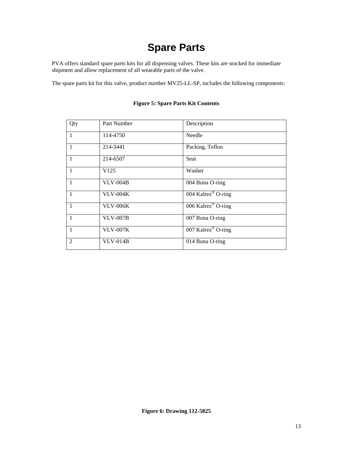# **Spare Parts**

<span id="page-12-0"></span>PVA offers standard spare parts kits for all dispensing valves. These kits are stocked for immediate shipment and allow replacement of all wearable parts of the valve.

<span id="page-12-1"></span>The spare parts kit for this valve, product number MV25-LL-SP, includes the following components:

<span id="page-12-2"></span>

| Qty            | Part Number      | Description                    |
|----------------|------------------|--------------------------------|
| $\mathbf{1}$   | 114-4750         | Needle                         |
| $\mathbf{1}$   | 214-3441         | Packing, Teflon                |
| $\mathbf{1}$   | 214-6507         | Seat                           |
| $\mathbf{1}$   | V <sub>125</sub> | Washer                         |
| $\mathbf{1}$   | <b>VLV-004B</b>  | 004 Buna O-ring                |
| $\mathbf{1}$   | <b>VLV-004K</b>  | 004 Kalrez <sup>®</sup> O-ring |
| $\overline{1}$ | <b>VLV-006K</b>  | 006 Kalrez <sup>®</sup> O-ring |
| $\mathbf{1}$   | <b>VLV-007B</b>  | 007 Buna O-ring                |
| $\mathbf{1}$   | <b>VLV-007K</b>  | 007 Kalrez <sup>®</sup> O-ring |
| $\overline{2}$ | $VLV-014B$       | 014 Buna O-ring                |

### **Figure 5: Spare Parts Kit Contents**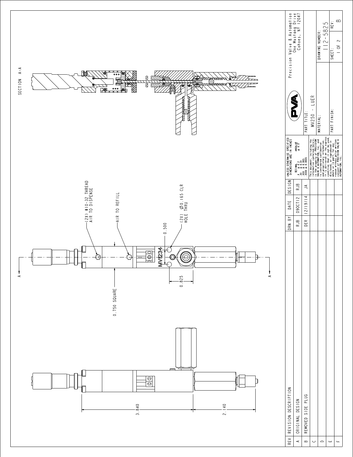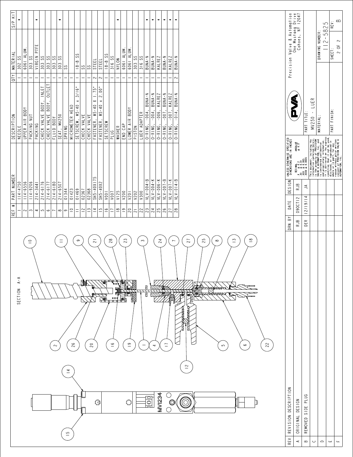



|                | REV   REVISION DESCRIPTION |  | DRN BY DATE DESIGN DIKLESS OTHERWISE SPECIFIED                                                                                                                                                                                |                |                                                                       |                        |      |
|----------------|----------------------------|--|-------------------------------------------------------------------------------------------------------------------------------------------------------------------------------------------------------------------------------|----------------|-----------------------------------------------------------------------|------------------------|------|
|                | ORIGINAL DESIGN            |  | $+10011$ AR<br>$+0.5$ <sup>6</sup><br>$RJB$ $0.9000112$ $RJB$ $x = 0.012$<br>$R = 0.012$<br>$R = 0.012$<br>$R = 0.0014$<br>$R = 0.0005$<br>$R = 0.0005$<br>$R = 0.0005$                                                       | <b>SOLU</b>    | Precision Valve & Automation<br>One Mustang Drive<br>Cohoes, NY 12047 |                        |      |
| $\overline{a}$ | REMOVED SIDE PLUG          |  |                                                                                                                                                                                                                               | PART TITLE:    |                                                                       |                        |      |
|                |                            |  |                                                                                                                                                                                                                               | $MV250 - LUER$ |                                                                       |                        |      |
|                |                            |  |                                                                                                                                                                                                                               | MATERIAL:      |                                                                       | DRAWING NUMBER:        |      |
|                |                            |  | This decument, including the state of the second to the second term of the second term of the second term of the second term of the second term of the second term of the second term of the second term of the second term o | PART FINISH:   |                                                                       | $112 - 5825$<br>SHEET: | REV: |
|                |                            |  |                                                                                                                                                                                                                               |                |                                                                       | $2$ OF 2               | ≃    |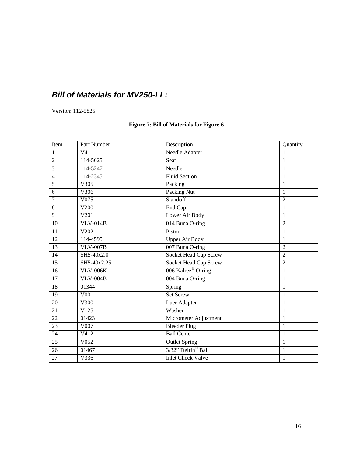### *Bill of Materials for MV250-LL:*

Version: 112-5825

### **Figure 7: Bill of Materials for Figure 6**

| Item            | Part Number     | Description                    | Quantity       |
|-----------------|-----------------|--------------------------------|----------------|
| $\mathbf{1}$    | V411            | Needle Adapter                 | 1              |
| $\overline{2}$  | 114-5625        | Seat                           | $\mathbf{1}$   |
| 3               | 114-5247        | Needle                         | 1              |
| $\overline{4}$  | 114-2345        | <b>Fluid Section</b>           | $\mathbf{1}$   |
| 5               | V305            | Packing                        | $\mathbf{1}$   |
| 6               | V306            | Packing Nut                    | 1              |
| $\overline{7}$  | V075            | Standoff                       | $\overline{c}$ |
| 8               | V200            | End Cap                        | $\mathbf{1}$   |
| 9               | V201            | Lower Air Body                 | 1              |
| 10              | $VLV-014B$      | 014 Buna O-ring                | $\overline{2}$ |
| 11              | V202            | Piston                         | $\mathbf{1}$   |
| 12              | 114-4595        | <b>Upper Air Body</b>          | $\mathbf{1}$   |
| 13              | <b>VLV-007B</b> | 007 Buna O-ring                | $\overline{2}$ |
| 14              | SH5-40x2.0      | <b>Socket Head Cap Screw</b>   | $\overline{2}$ |
| 15              | SH5-40x2.25     | Socket Head Cap Screw          | $\overline{2}$ |
| 16              | <b>VLV-006K</b> | 006 Kalrez® O-ring             | $\mathbf{1}$   |
| $\overline{17}$ | $VLV-004B$      | 004 Buna O-ring                | $\mathbf{1}$   |
| 18              | 01344           | Spring                         | $\mathbf{1}$   |
| $\overline{19}$ | V001            | <b>Set Screw</b>               | $\mathbf{1}$   |
| 20              | V300            | Luer Adapter                   | $\mathbf{1}$   |
| 21              | V125            | Washer                         | $\mathbf{1}$   |
| $\overline{22}$ | 01423           | Micrometer Adjustment          | $\mathbf{1}$   |
| $\overline{23}$ | V007            | <b>Bleeder Plug</b>            | $\mathbf{1}$   |
| 24              | V412            | <b>Ball Center</b>             | $\mathbf{1}$   |
| 25              | V052            | <b>Outlet Spring</b>           | $\mathbf{1}$   |
| $\overline{26}$ | 01467           | 3/32" Delrin <sup>®</sup> Ball | $\mathbf{1}$   |
| 27              | V336            | <b>Inlet Check Valve</b>       | $\mathbf{1}$   |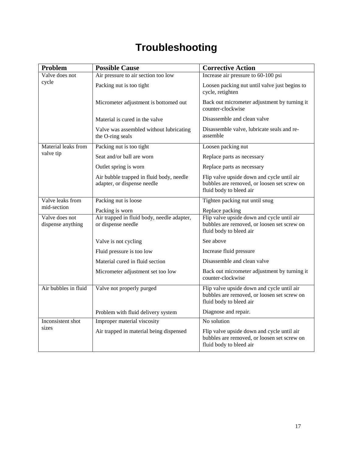# **Troubleshooting**

| Problem                             | <b>Possible Cause</b>                                                   | <b>Corrective Action</b>                                                                                             |
|-------------------------------------|-------------------------------------------------------------------------|----------------------------------------------------------------------------------------------------------------------|
| Valve does not                      | Air pressure to air section too low                                     | Increase air pressure to 60-100 psi                                                                                  |
| cycle                               | Packing nut is too tight                                                | Loosen packing nut until valve just begins to<br>cycle, retighten                                                    |
|                                     | Micrometer adjustment is bottomed out                                   | Back out micrometer adjustment by turning it<br>counter-clockwise                                                    |
|                                     | Material is cured in the valve                                          | Disassemble and clean valve                                                                                          |
|                                     | Valve was assembled without lubricating<br>the O-ring seals             | Disassemble valve, lubricate seals and re-<br>assemble                                                               |
| Material leaks from                 | Packing nut is too tight                                                | Loosen packing nut                                                                                                   |
| valve tip                           | Seat and/or ball are worn                                               | Replace parts as necessary                                                                                           |
|                                     | Outlet spring is worn                                                   | Replace parts as necessary                                                                                           |
|                                     | Air bubble trapped in fluid body, needle<br>adapter, or dispense needle | Flip valve upside down and cycle until air<br>bubbles are removed, or loosen set screw on<br>fluid body to bleed air |
| Valve leaks from                    | Packing nut is loose                                                    | Tighten packing nut until snug                                                                                       |
| mid-section                         | Packing is worn                                                         | Replace packing                                                                                                      |
| Valve does not<br>dispense anything | Air trapped in fluid body, needle adapter,<br>or dispense needle        | Flip valve upside down and cycle until air<br>bubbles are removed, or loosen set screw on<br>fluid body to bleed air |
|                                     | Valve is not cycling                                                    | See above                                                                                                            |
|                                     | Fluid pressure is too low                                               | Increase fluid pressure                                                                                              |
|                                     | Material cured in fluid section                                         | Disassemble and clean valve                                                                                          |
|                                     | Micrometer adjustment set too low                                       | Back out micrometer adjustment by turning it<br>counter-clockwise                                                    |
| Air bubbles in fluid                | Valve not properly purged                                               | Flip valve upside down and cycle until air<br>bubbles are removed, or loosen set screw on<br>fluid body to bleed air |
|                                     | Problem with fluid delivery system                                      | Diagnose and repair.                                                                                                 |
| Inconsistent shot                   | Improper material viscosity                                             | No solution                                                                                                          |
| sizes                               | Air trapped in material being dispensed                                 | Flip valve upside down and cycle until air<br>bubbles are removed, or loosen set screw on<br>fluid body to bleed air |